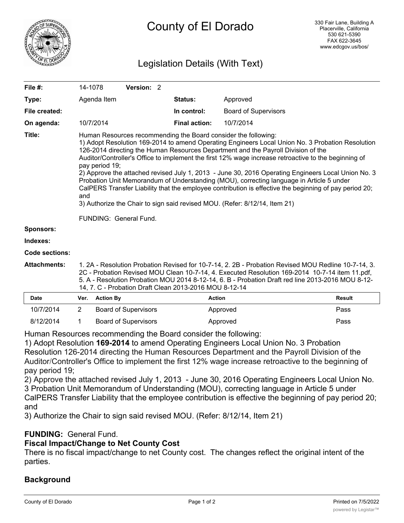

# County of El Dorado

## Legislation Details (With Text)

| File #:          | 14-1078                                                                                                                                                                                                                                                                                                                                                                                                                                                                                                                                                                                                                                                                                                                                                                                                      | Version: 2 |                      |                             |  |  |
|------------------|--------------------------------------------------------------------------------------------------------------------------------------------------------------------------------------------------------------------------------------------------------------------------------------------------------------------------------------------------------------------------------------------------------------------------------------------------------------------------------------------------------------------------------------------------------------------------------------------------------------------------------------------------------------------------------------------------------------------------------------------------------------------------------------------------------------|------------|----------------------|-----------------------------|--|--|
| Type:            | Agenda Item                                                                                                                                                                                                                                                                                                                                                                                                                                                                                                                                                                                                                                                                                                                                                                                                  |            | <b>Status:</b>       | Approved                    |  |  |
| File created:    |                                                                                                                                                                                                                                                                                                                                                                                                                                                                                                                                                                                                                                                                                                                                                                                                              |            | In control:          | <b>Board of Supervisors</b> |  |  |
| On agenda:       | 10/7/2014                                                                                                                                                                                                                                                                                                                                                                                                                                                                                                                                                                                                                                                                                                                                                                                                    |            | <b>Final action:</b> | 10/7/2014                   |  |  |
| Title:           | Human Resources recommending the Board consider the following:<br>1) Adopt Resolution 169-2014 to amend Operating Engineers Local Union No. 3 Probation Resolution<br>126-2014 directing the Human Resources Department and the Payroll Division of the<br>Auditor/Controller's Office to implement the first 12% wage increase retroactive to the beginning of<br>pay period 19;<br>2) Approve the attached revised July 1, 2013 - June 30, 2016 Operating Engineers Local Union No. 3<br>Probation Unit Memorandum of Understanding (MOU), correcting language in Article 5 under<br>CalPERS Transfer Liability that the employee contribution is effective the beginning of pay period 20;<br>and<br>3) Authorize the Chair to sign said revised MOU. (Refer: 8/12/14, Item 21)<br>FUNDING: General Fund. |            |                      |                             |  |  |
| <b>Sponsors:</b> |                                                                                                                                                                                                                                                                                                                                                                                                                                                                                                                                                                                                                                                                                                                                                                                                              |            |                      |                             |  |  |
| Indexes:         |                                                                                                                                                                                                                                                                                                                                                                                                                                                                                                                                                                                                                                                                                                                                                                                                              |            |                      |                             |  |  |
| Code sections:   |                                                                                                                                                                                                                                                                                                                                                                                                                                                                                                                                                                                                                                                                                                                                                                                                              |            |                      |                             |  |  |

**Attachments:** 1. 2A - Resolution Probation Revised for 10-7-14, 2. 2B - Probation Revised MOU Redline 10-7-14, 3. 2C - Probation Revised MOU Clean 10-7-14, 4. Executed Resolution 169-2014 10-7-14 item 11.pdf, 5. A - Resolution Probation MOU 2014 8-12-14, 6. B - Probation Draft red line 2013-2016 MOU 8-12- 14, 7. C - Probation Draft Clean 2013-2016 MOU 8-12-14

| <b>Date</b> | Ver. Action By              | Action   | Result |
|-------------|-----------------------------|----------|--------|
| 10/7/2014   | <b>Board of Supervisors</b> | Approved | Pass   |
| 8/12/2014   | <b>Board of Supervisors</b> | Approved | Pass   |

Human Resources recommending the Board consider the following:

1) Adopt Resolution **169-2014** to amend Operating Engineers Local Union No. 3 Probation Resolution 126-2014 directing the Human Resources Department and the Payroll Division of the Auditor/Controller's Office to implement the first 12% wage increase retroactive to the beginning of pay period 19;

2) Approve the attached revised July 1, 2013 - June 30, 2016 Operating Engineers Local Union No. 3 Probation Unit Memorandum of Understanding (MOU), correcting language in Article 5 under CalPERS Transfer Liability that the employee contribution is effective the beginning of pay period 20; and

3) Authorize the Chair to sign said revised MOU. (Refer: 8/12/14, Item 21)

### **FUNDING:** General Fund.

### **Fiscal Impact/Change to Net County Cost**

There is no fiscal impact/change to net County cost. The changes reflect the original intent of the parties.

### **Background**